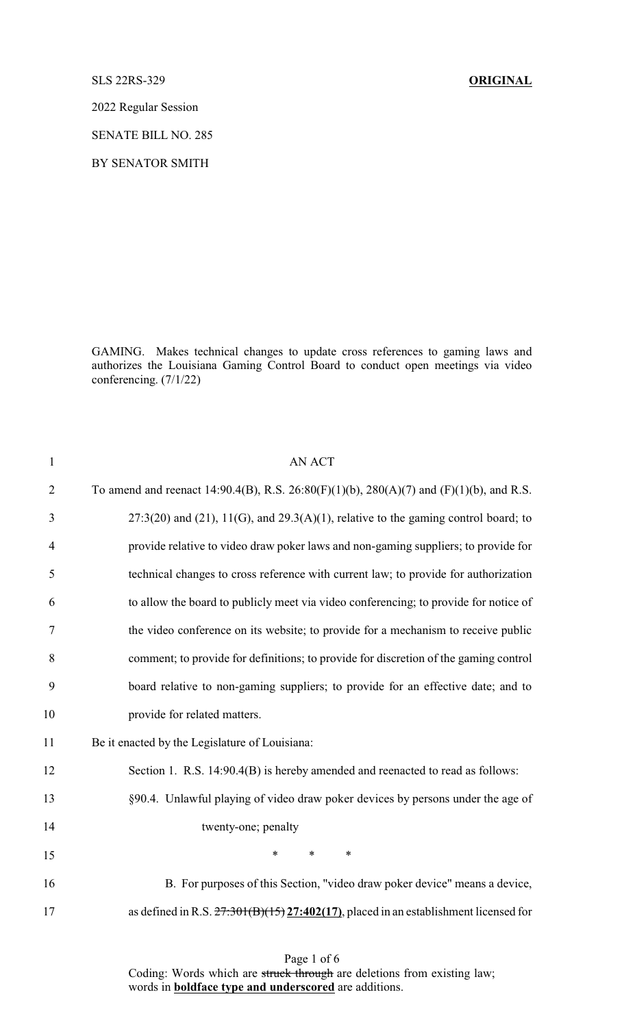SLS 22RS-329 **ORIGINAL**

2022 Regular Session

SENATE BILL NO. 285

BY SENATOR SMITH

GAMING. Makes technical changes to update cross references to gaming laws and authorizes the Louisiana Gaming Control Board to conduct open meetings via video conferencing. (7/1/22)

| $\mathbf{1}$   | <b>AN ACT</b>                                                                           |
|----------------|-----------------------------------------------------------------------------------------|
| $\overline{2}$ | To amend and reenact 14:90.4(B), R.S. 26:80(F)(1)(b), 280(A)(7) and (F)(1)(b), and R.S. |
| 3              | $27:3(20)$ and (21), 11(G), and 29.3(A)(1), relative to the gaming control board; to    |
| $\overline{4}$ | provide relative to video draw poker laws and non-gaming suppliers; to provide for      |
| 5              | technical changes to cross reference with current law; to provide for authorization     |
| 6              | to allow the board to publicly meet via video conferencing; to provide for notice of    |
| 7              | the video conference on its website; to provide for a mechanism to receive public       |
| 8              | comment; to provide for definitions; to provide for discretion of the gaming control    |
| 9              | board relative to non-gaming suppliers; to provide for an effective date; and to        |
| 10             | provide for related matters.                                                            |
| 11             | Be it enacted by the Legislature of Louisiana:                                          |
| 12             | Section 1. R.S. 14:90.4(B) is hereby amended and reenacted to read as follows:          |
| 13             | §90.4. Unlawful playing of video draw poker devices by persons under the age of         |
| 14             | twenty-one; penalty                                                                     |
| 15             | $\ast$<br>$\ast$<br>*                                                                   |
| 16             | B. For purposes of this Section, "video draw poker device" means a device,              |
| 17             | as defined in R.S. $27:301(B)(15)27:402(17)$ , placed in an establishment licensed for  |

Coding: Words which are struck through are deletions from existing law; words in **boldface type and underscored** are additions.

## Page 1 of 6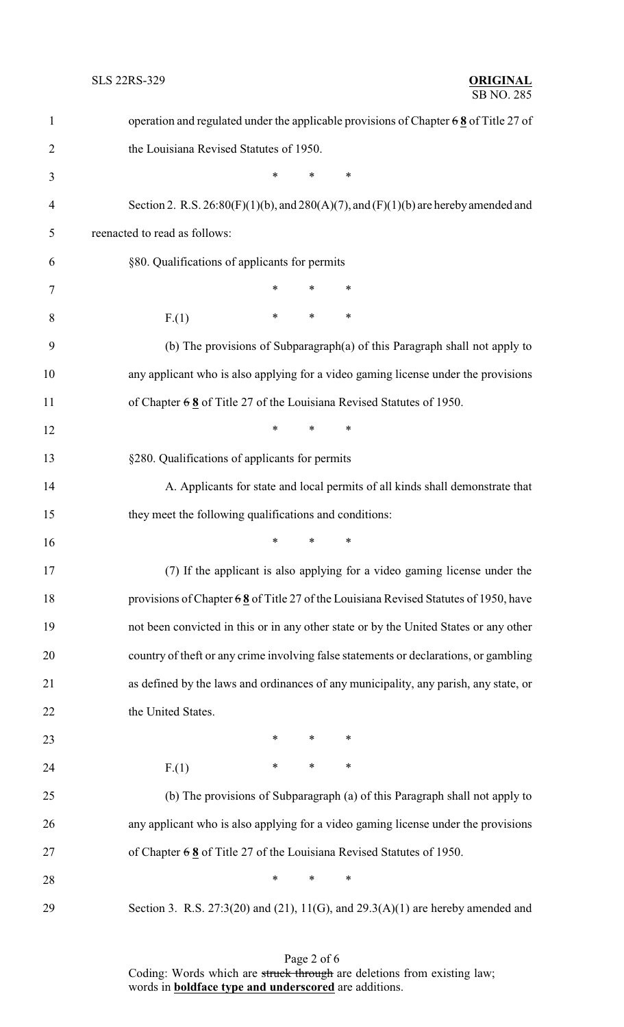| $\mathbf{1}$   | operation and regulated under the applicable provisions of Chapter $68$ of Title 27 of      |
|----------------|---------------------------------------------------------------------------------------------|
| $\overline{c}$ | the Louisiana Revised Statutes of 1950.                                                     |
| 3              | *<br>$\ast$<br>$\ast$                                                                       |
| $\overline{4}$ | Section 2. R.S. $26:80(F)(1)(b)$ , and $280(A)(7)$ , and $(F)(1)(b)$ are hereby amended and |
| 5              | reenacted to read as follows:                                                               |
| 6              | §80. Qualifications of applicants for permits                                               |
| 7              | ∗<br>∗                                                                                      |
| 8              | $\ast$<br>$\ast$<br>$\ast$<br>F(1)                                                          |
| 9              | (b) The provisions of Subparagraph(a) of this Paragraph shall not apply to                  |
| 10             | any applicant who is also applying for a video gaming license under the provisions          |
| 11             | of Chapter $68$ of Title 27 of the Louisiana Revised Statutes of 1950.                      |
| 12             | *<br>$\ast$<br>∗                                                                            |
| 13             | §280. Qualifications of applicants for permits                                              |
| 14             | A. Applicants for state and local permits of all kinds shall demonstrate that               |
| 15             | they meet the following qualifications and conditions:                                      |
| 16             | $\ast$<br>$\ast$<br>$\ast$                                                                  |
| 17             | (7) If the applicant is also applying for a video gaming license under the                  |
| 18             | provisions of Chapter $68$ of Title 27 of the Louisiana Revised Statutes of 1950, have      |
| 19             | not been convicted in this or in any other state or by the United States or any other       |
| 20             | country of theft or any crime involving false statements or declarations, or gambling       |
| 21             | as defined by the laws and ordinances of any municipality, any parish, any state, or        |
| 22             | the United States.                                                                          |
| 23             | $\ast$<br>$\ast$<br>∗                                                                       |
| 24             | $\ast$<br>$\ast$<br>$\ast$<br>F(1)                                                          |
| 25             | (b) The provisions of Subparagraph (a) of this Paragraph shall not apply to                 |
| 26             | any applicant who is also applying for a video gaming license under the provisions          |
| 27             | of Chapter $68$ of Title 27 of the Louisiana Revised Statutes of 1950.                      |
| 28             | $\ast$<br>∗<br>∗                                                                            |
| 29             | Section 3. R.S. $27:3(20)$ and $(21)$ , $11(G)$ , and $29.3(A)(1)$ are hereby amended and   |

Page 2 of 6 Coding: Words which are struck through are deletions from existing law; words in **boldface type and underscored** are additions.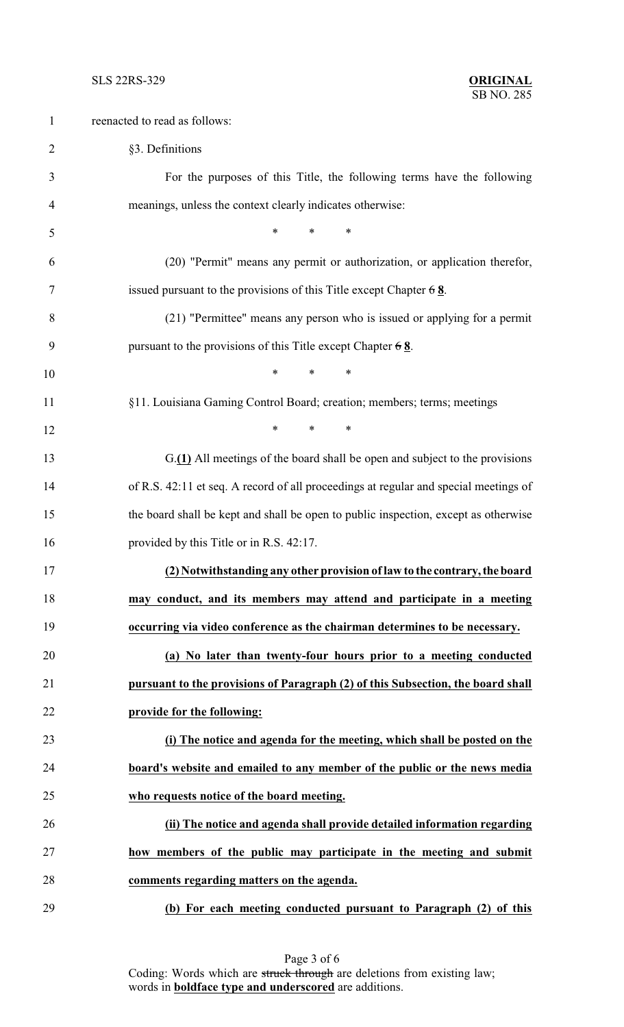| $\mathbf{1}$ | reenacted to read as follows:                                                        |
|--------------|--------------------------------------------------------------------------------------|
| 2            | §3. Definitions                                                                      |
| 3            | For the purposes of this Title, the following terms have the following               |
| 4            | meanings, unless the context clearly indicates otherwise:                            |
| 5            | $*$<br>$\ast$<br>∗                                                                   |
| 6            | (20) "Permit" means any permit or authorization, or application therefor,            |
| 7            | issued pursuant to the provisions of this Title except Chapter $68$ .                |
| 8            | (21) "Permittee" means any person who is issued or applying for a permit             |
| 9            | pursuant to the provisions of this Title except Chapter $68$ .                       |
| 10           | $\ast$<br>$\ast$<br>∗                                                                |
| 11           | §11. Louisiana Gaming Control Board; creation; members; terms; meetings              |
| 12           | $\ast$<br>*<br>$\ast$                                                                |
| 13           | G.(1) All meetings of the board shall be open and subject to the provisions          |
| 14           | of R.S. 42:11 et seq. A record of all proceedings at regular and special meetings of |
| 15           | the board shall be kept and shall be open to public inspection, except as otherwise  |
| 16           | provided by this Title or in R.S. 42:17.                                             |
| 17           | (2) Notwithstanding any other provision of law to the contrary, the board            |
| 18           | may conduct, and its members may attend and participate in a meeting                 |
| 19           | occurring via video conference as the chairman determines to be necessary.           |
| 20           | (a) No later than twenty-four hours prior to a meeting conducted                     |
| 21           | pursuant to the provisions of Paragraph (2) of this Subsection, the board shall      |
| 22           | provide for the following:                                                           |
| 23           | (i) The notice and agenda for the meeting, which shall be posted on the              |
| 24           | board's website and emailed to any member of the public or the news media            |
| 25           | who requests notice of the board meeting.                                            |
| 26           | (ii) The notice and agenda shall provide detailed information regarding              |
| 27           | how members of the public may participate in the meeting and submit                  |
| 28           | comments regarding matters on the agenda.                                            |
| 29           | (b) For each meeting conducted pursuant to Paragraph (2) of this                     |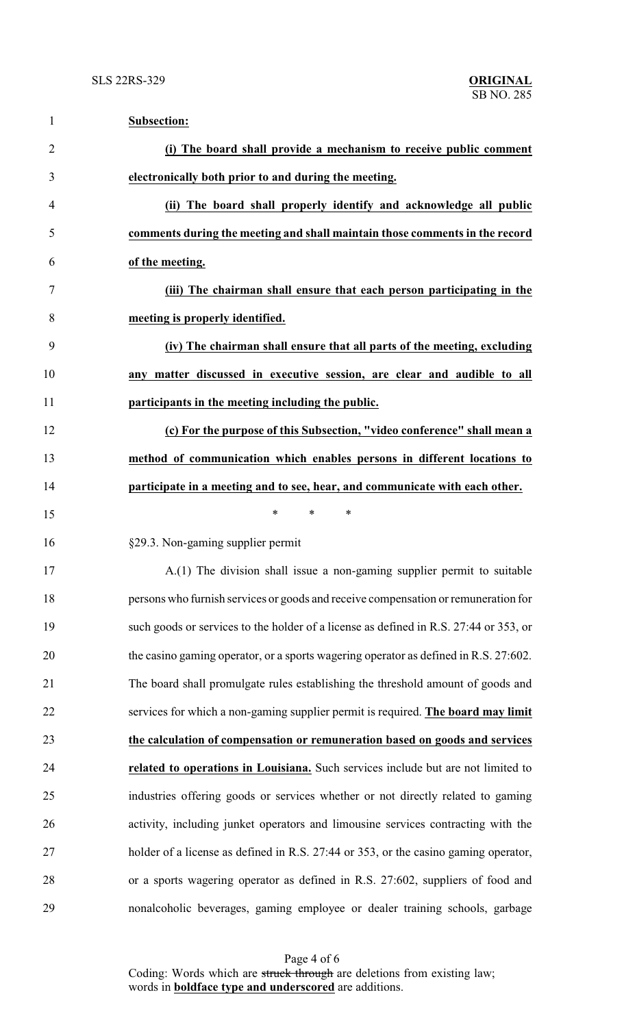| 1              | <b>Subsection:</b>                                                                    |
|----------------|---------------------------------------------------------------------------------------|
| $\overline{2}$ | (i) The board shall provide a mechanism to receive public comment                     |
| 3              | electronically both prior to and during the meeting.                                  |
| 4              | (ii) The board shall properly identify and acknowledge all public                     |
| 5              | comments during the meeting and shall maintain those comments in the record           |
| 6              | of the meeting.                                                                       |
| 7              | (iii) The chairman shall ensure that each person participating in the                 |
| 8              | meeting is properly identified.                                                       |
| 9              | (iv) The chairman shall ensure that all parts of the meeting, excluding               |
| 10             | any matter discussed in executive session, are clear and audible to all               |
| 11             | participants in the meeting including the public.                                     |
| 12             | (c) For the purpose of this Subsection, "video conference" shall mean a               |
| 13             | method of communication which enables persons in different locations to               |
| 14             | participate in a meeting and to see, hear, and communicate with each other.           |
| 15             | $\ast$<br>*<br>∗                                                                      |
| 16             | §29.3. Non-gaming supplier permit                                                     |
| 17             | $A(1)$ The division shall issue a non-gaming supplier permit to suitable              |
| 18             | persons who furnish services or goods and receive compensation or remuneration for    |
| 19             | such goods or services to the holder of a license as defined in R.S. 27:44 or 353, or |
| 20             | the casino gaming operator, or a sports wagering operator as defined in R.S. 27:602.  |
| 21             | The board shall promulgate rules establishing the threshold amount of goods and       |
| 22             | services for which a non-gaming supplier permit is required. The board may limit      |
| 23             | the calculation of compensation or remuneration based on goods and services           |
| 24             | related to operations in Louisiana. Such services include but are not limited to      |
| 25             | industries offering goods or services whether or not directly related to gaming       |
| 26             | activity, including junket operators and limousine services contracting with the      |
| 27             | holder of a license as defined in R.S. 27:44 or 353, or the casino gaming operator,   |
| 28             | or a sports wagering operator as defined in R.S. 27:602, suppliers of food and        |
| 29             | nonalcoholic beverages, gaming employee or dealer training schools, garbage           |

Page 4 of 6 Coding: Words which are struck through are deletions from existing law; words in **boldface type and underscored** are additions.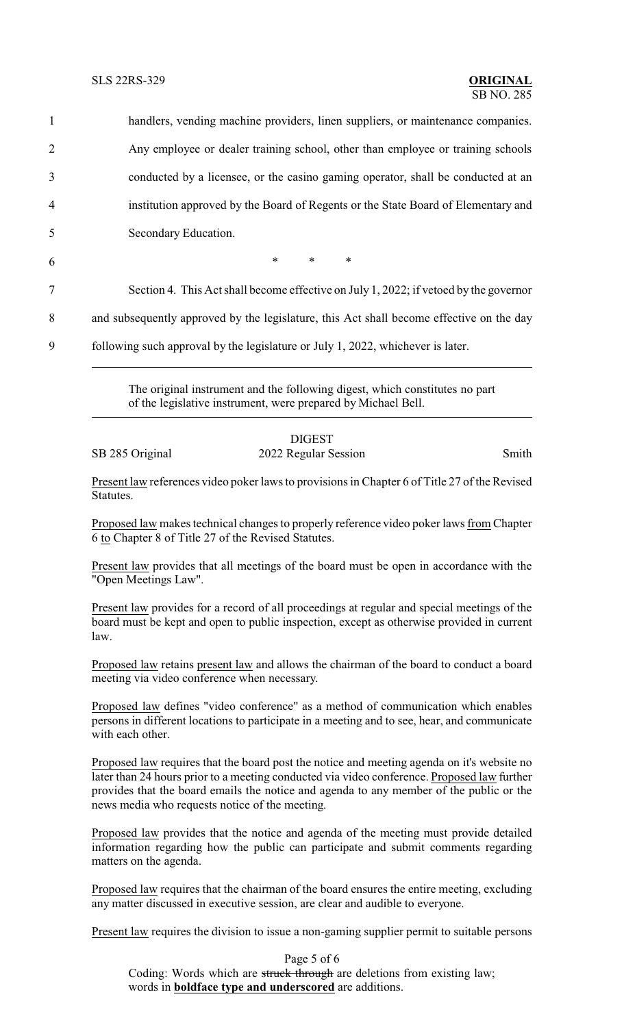handlers, vending machine providers, linen suppliers, or maintenance companies. Any employee or dealer training school, other than employee or training schools conducted by a licensee, or the casino gaming operator, shall be conducted at an institution approved by the Board of Regents or the State Board of Elementary and Secondary Education.  $6$  \* \* \*

7 Section 4. This Act shall become effective on July 1, 2022; if vetoed by the governor

8 and subsequently approved by the legislature, this Act shall become effective on the day

9 following such approval by the legislature or July 1, 2022, whichever is later.

The original instrument and the following digest, which constitutes no part of the legislative instrument, were prepared by Michael Bell.

## DIGEST SB 285 Original 2022 Regular Session Smith

Present law references video poker laws to provisions in Chapter 6 of Title 27 of the Revised **Statutes** 

Proposed law makes technical changes to properly reference video poker laws from Chapter 6 to Chapter 8 of Title 27 of the Revised Statutes.

Present law provides that all meetings of the board must be open in accordance with the "Open Meetings Law".

Present law provides for a record of all proceedings at regular and special meetings of the board must be kept and open to public inspection, except as otherwise provided in current law.

Proposed law retains present law and allows the chairman of the board to conduct a board meeting via video conference when necessary.

Proposed law defines "video conference" as a method of communication which enables persons in different locations to participate in a meeting and to see, hear, and communicate with each other.

Proposed law requires that the board post the notice and meeting agenda on it's website no later than 24 hours prior to a meeting conducted via video conference. Proposed law further provides that the board emails the notice and agenda to any member of the public or the news media who requests notice of the meeting.

Proposed law provides that the notice and agenda of the meeting must provide detailed information regarding how the public can participate and submit comments regarding matters on the agenda.

Proposed law requires that the chairman of the board ensures the entire meeting, excluding any matter discussed in executive session, are clear and audible to everyone.

Present law requires the division to issue a non-gaming supplier permit to suitable persons

Page 5 of 6 Coding: Words which are struck through are deletions from existing law; words in **boldface type and underscored** are additions.